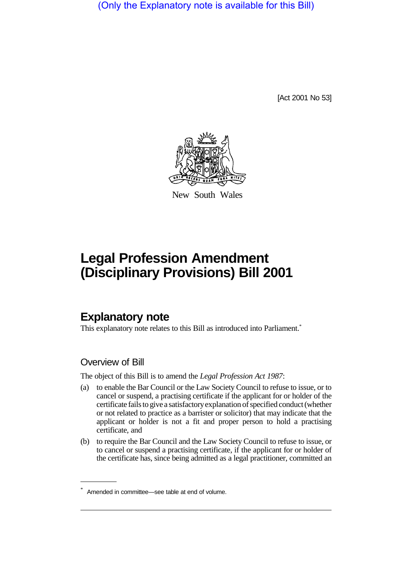(Only the Explanatory note is available for this Bill)

[Act 2001 No 53]



New South Wales

# **Legal Profession Amendment (Disciplinary Provisions) Bill 2001**

# **Explanatory note**

This explanatory note relates to this Bill as introduced into Parliament.<sup>\*</sup>

### Overview of Bill

The object of this Bill is to amend the *Legal Profession Act 1987*:

- (a) to enable the Bar Council or the Law Society Council to refuse to issue, or to cancel or suspend, a practising certificate if the applicant for or holder of the certificate fails to give a satisfactory explanation of specified conduct (whether or not related to practice as a barrister or solicitor) that may indicate that the applicant or holder is not a fit and proper person to hold a practising certificate, and
- (b) to require the Bar Council and the Law Society Council to refuse to issue, or to cancel or suspend a practising certificate, if the applicant for or holder of the certificate has, since being admitted as a legal practitioner, committed an

<sup>\*</sup> Amended in committee—see table at end of volume.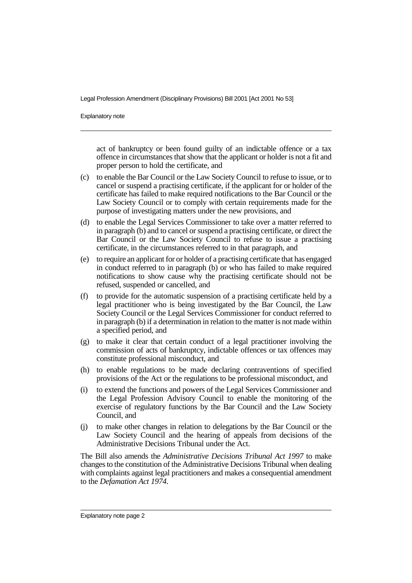Explanatory note

act of bankruptcy or been found guilty of an indictable offence or a tax offence in circumstances that show that the applicant or holder is not a fit and proper person to hold the certificate, and

- (c) to enable the Bar Council or the Law Society Council to refuse to issue, or to cancel or suspend a practising certificate, if the applicant for or holder of the certificate has failed to make required notifications to the Bar Council or the Law Society Council or to comply with certain requirements made for the purpose of investigating matters under the new provisions, and
- (d) to enable the Legal Services Commissioner to take over a matter referred to in paragraph (b) and to cancel or suspend a practising certificate, or direct the Bar Council or the Law Society Council to refuse to issue a practising certificate, in the circumstances referred to in that paragraph, and
- (e) to require an applicant for or holder of a practising certificate that has engaged in conduct referred to in paragraph (b) or who has failed to make required notifications to show cause why the practising certificate should not be refused, suspended or cancelled, and
- (f) to provide for the automatic suspension of a practising certificate held by a legal practitioner who is being investigated by the Bar Council, the Law Society Council or the Legal Services Commissioner for conduct referred to in paragraph (b) if a determination in relation to the matter is not made within a specified period, and
- (g) to make it clear that certain conduct of a legal practitioner involving the commission of acts of bankruptcy, indictable offences or tax offences may constitute professional misconduct, and
- (h) to enable regulations to be made declaring contraventions of specified provisions of the Act or the regulations to be professional misconduct, and
- (i) to extend the functions and powers of the Legal Services Commissioner and the Legal Profession Advisory Council to enable the monitoring of the exercise of regulatory functions by the Bar Council and the Law Society Council, and
- (j) to make other changes in relation to delegations by the Bar Council or the Law Society Council and the hearing of appeals from decisions of the Administrative Decisions Tribunal under the Act.

The Bill also amends the *Administrative Decisions Tribunal Act 1997* to make changes to the constitution of the Administrative Decisions Tribunal when dealing with complaints against legal practitioners and makes a consequential amendment to the *Defamation Act 1974*.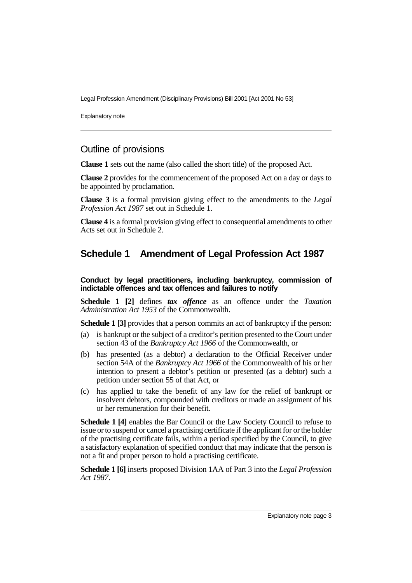Explanatory note

### Outline of provisions

**Clause 1** sets out the name (also called the short title) of the proposed Act.

**Clause 2** provides for the commencement of the proposed Act on a day or days to be appointed by proclamation.

**Clause 3** is a formal provision giving effect to the amendments to the *Legal Profession Act 1987* set out in Schedule 1.

**Clause 4** is a formal provision giving effect to consequential amendments to other Acts set out in Schedule 2.

# **Schedule 1 Amendment of Legal Profession Act 1987**

**Conduct by legal practitioners, including bankruptcy, commission of indictable offences and tax offences and failures to notify**

**Schedule 1 [2]** defines *tax offence* as an offence under the *Taxation Administration Act 1953* of the Commonwealth.

**Schedule 1 [3]** provides that a person commits an act of bankruptcy if the person:

- (a) is bankrupt or the subject of a creditor's petition presented to the Court under section 43 of the *Bankruptcy Act 1966* of the Commonwealth, or
- (b) has presented (as a debtor) a declaration to the Official Receiver under section 54A of the *Bankruptcy Act 1966* of the Commonwealth of his or her intention to present a debtor's petition or presented (as a debtor) such a petition under section 55 of that Act, or
- (c) has applied to take the benefit of any law for the relief of bankrupt or insolvent debtors, compounded with creditors or made an assignment of his or her remuneration for their benefit.

**Schedule 1 [4]** enables the Bar Council or the Law Society Council to refuse to issue or to suspend or cancel a practising certificate if the applicant for or the holder of the practising certificate fails, within a period specified by the Council, to give a satisfactory explanation of specified conduct that may indicate that the person is not a fit and proper person to hold a practising certificate.

**Schedule 1 [6]** inserts proposed Division 1AA of Part 3 into the *Legal Profession Act 1987*.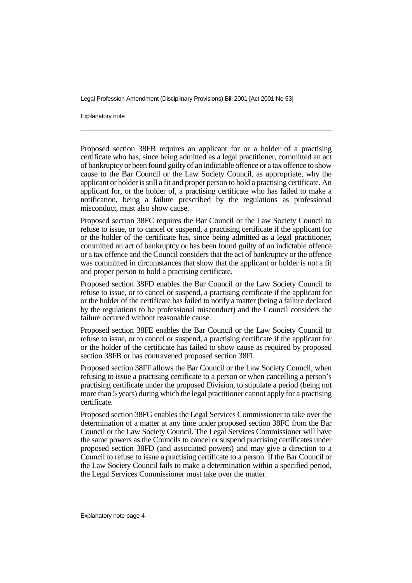Explanatory note

Proposed section 38FB requires an applicant for or a holder of a practising certificate who has, since being admitted as a legal practitioner, committed an act of bankruptcy or been found guilty of an indictable offence or a tax offence to show cause to the Bar Council or the Law Society Council, as appropriate, why the applicant or holder is still a fit and proper person to hold a practising certificate. An applicant for, or the holder of, a practising certificate who has failed to make a notification, being a failure prescribed by the regulations as professional misconduct, must also show cause.

Proposed section 38FC requires the Bar Council or the Law Society Council to refuse to issue, or to cancel or suspend, a practising certificate if the applicant for or the holder of the certificate has, since being admitted as a legal practitioner, committed an act of bankruptcy or has been found guilty of an indictable offence or a tax offence and the Council considers that the act of bankruptcy or the offence was committed in circumstances that show that the applicant or holder is not a fit and proper person to hold a practising certificate.

Proposed section 38FD enables the Bar Council or the Law Society Council to refuse to issue, or to cancel or suspend, a practising certificate if the applicant for or the holder of the certificate has failed to notify a matter (being a failure declared by the regulations to be professional misconduct) and the Council considers the failure occurred without reasonable cause.

Proposed section 38FE enables the Bar Council or the Law Society Council to refuse to issue, or to cancel or suspend, a practising certificate if the applicant for or the holder of the certificate has failed to show cause as required by proposed section 38FB or has contravened proposed section 38FI.

Proposed section 38FF allows the Bar Council or the Law Society Council, when refusing to issue a practising certificate to a person or when cancelling a person's practising certificate under the proposed Division, to stipulate a period (being not more than 5 years) during which the legal practitioner cannot apply for a practising certificate.

Proposed section 38FG enables the Legal Services Commissioner to take over the determination of a matter at any time under proposed section 38FC from the Bar Council or the Law Society Council. The Legal Services Commissioner will have the same powers as the Councils to cancel or suspend practising certificates under proposed section 38FD (and associated powers) and may give a direction to a Council to refuse to issue a practising certificate to a person. If the Bar Council or the Law Society Council fails to make a determination within a specified period, the Legal Services Commissioner must take over the matter.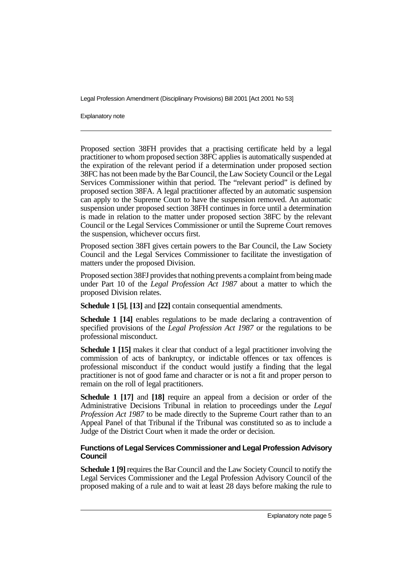Explanatory note

Proposed section 38FH provides that a practising certificate held by a legal practitioner to whom proposed section 38FC applies is automatically suspended at the expiration of the relevant period if a determination under proposed section 38FC has not been made by the Bar Council, the Law Society Council or the Legal Services Commissioner within that period. The "relevant period" is defined by proposed section 38FA. A legal practitioner affected by an automatic suspension can apply to the Supreme Court to have the suspension removed. An automatic suspension under proposed section 38FH continues in force until a determination is made in relation to the matter under proposed section 38FC by the relevant Council or the Legal Services Commissioner or until the Supreme Court removes the suspension, whichever occurs first.

Proposed section 38FI gives certain powers to the Bar Council, the Law Society Council and the Legal Services Commissioner to facilitate the investigation of matters under the proposed Division.

Proposed section 38FJ provides that nothing prevents a complaint from being made under Part 10 of the *Legal Profession Act 1987* about a matter to which the proposed Division relates.

**Schedule 1 [5]**, **[13]** and **[22]** contain consequential amendments.

**Schedule 1 [14]** enables regulations to be made declaring a contravention of specified provisions of the *Legal Profession Act 1987* or the regulations to be professional misconduct.

**Schedule 1 [15]** makes it clear that conduct of a legal practitioner involving the commission of acts of bankruptcy, or indictable offences or tax offences is professional misconduct if the conduct would justify a finding that the legal practitioner is not of good fame and character or is not a fit and proper person to remain on the roll of legal practitioners.

**Schedule 1 [17]** and **[18]** require an appeal from a decision or order of the Administrative Decisions Tribunal in relation to proceedings under the *Legal Profession Act 1987* to be made directly to the Supreme Court rather than to an Appeal Panel of that Tribunal if the Tribunal was constituted so as to include a Judge of the District Court when it made the order or decision.

#### **Functions of Legal Services Commissioner and Legal Profession Advisory Council**

**Schedule 1 [9]** requires the Bar Council and the Law Society Council to notify the Legal Services Commissioner and the Legal Profession Advisory Council of the proposed making of a rule and to wait at least 28 days before making the rule to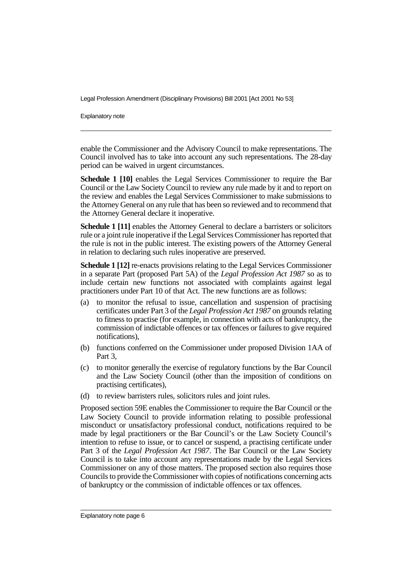Explanatory note

enable the Commissioner and the Advisory Council to make representations. The Council involved has to take into account any such representations. The 28-day period can be waived in urgent circumstances.

**Schedule 1 [10]** enables the Legal Services Commissioner to require the Bar Council or the Law Society Council to review any rule made by it and to report on the review and enables the Legal Services Commissioner to make submissions to the Attorney General on any rule that has been so reviewed and to recommend that the Attorney General declare it inoperative.

**Schedule 1 [11]** enables the Attorney General to declare a barristers or solicitors rule or a joint rule inoperative if the Legal Services Commissioner has reported that the rule is not in the public interest. The existing powers of the Attorney General in relation to declaring such rules inoperative are preserved.

**Schedule 1 [12]** re-enacts provisions relating to the Legal Services Commissioner in a separate Part (proposed Part 5A) of the *Legal Profession Act 1987* so as to include certain new functions not associated with complaints against legal practitioners under Part 10 of that Act. The new functions are as follows:

- (a) to monitor the refusal to issue, cancellation and suspension of practising certificates under Part 3 of the *Legal Profession Act 1987* on grounds relating to fitness to practise (for example, in connection with acts of bankruptcy, the commission of indictable offences or tax offences or failures to give required notifications),
- (b) functions conferred on the Commissioner under proposed Division 1AA of Part 3,
- (c) to monitor generally the exercise of regulatory functions by the Bar Council and the Law Society Council (other than the imposition of conditions on practising certificates),
- (d) to review barristers rules, solicitors rules and joint rules.

Proposed section 59E enables the Commissioner to require the Bar Council or the Law Society Council to provide information relating to possible professional misconduct or unsatisfactory professional conduct, notifications required to be made by legal practitioners or the Bar Council's or the Law Society Council's intention to refuse to issue, or to cancel or suspend, a practising certificate under Part 3 of the *Legal Profession Act 1987*. The Bar Council or the Law Society Council is to take into account any representations made by the Legal Services Commissioner on any of those matters. The proposed section also requires those Councils to provide the Commissioner with copies of notifications concerning acts of bankruptcy or the commission of indictable offences or tax offences.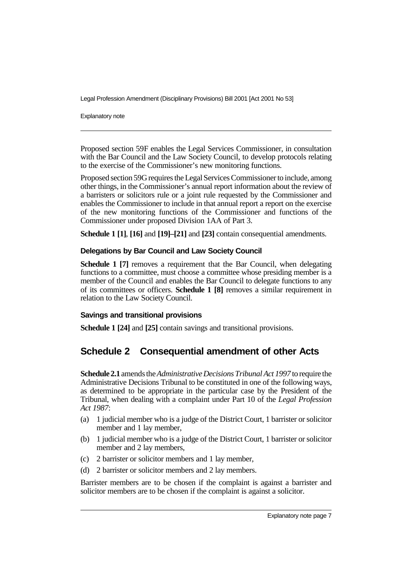Explanatory note

Proposed section 59F enables the Legal Services Commissioner, in consultation with the Bar Council and the Law Society Council, to develop protocols relating to the exercise of the Commissioner's new monitoring functions.

Proposed section 59G requires the Legal Services Commissioner to include, among other things, in the Commissioner's annual report information about the review of a barristers or solicitors rule or a joint rule requested by the Commissioner and enables the Commissioner to include in that annual report a report on the exercise of the new monitoring functions of the Commissioner and functions of the Commissioner under proposed Division 1AA of Part 3.

**Schedule 1 [1]**, **[16]** and **[19]–[21]** and **[23]** contain consequential amendments.

#### **Delegations by Bar Council and Law Society Council**

**Schedule 1 [7]** removes a requirement that the Bar Council, when delegating functions to a committee, must choose a committee whose presiding member is a member of the Council and enables the Bar Council to delegate functions to any of its committees or officers. **Schedule 1 [8]** removes a similar requirement in relation to the Law Society Council.

#### **Savings and transitional provisions**

**Schedule 1 [24]** and **[25]** contain savings and transitional provisions.

# **Schedule 2 Consequential amendment of other Acts**

**Schedule 2.1** amends the *Administrative Decisions Tribunal Act 1997* to require the Administrative Decisions Tribunal to be constituted in one of the following ways, as determined to be appropriate in the particular case by the President of the Tribunal, when dealing with a complaint under Part 10 of the *Legal Profession Act 1987*:

- (a) 1 judicial member who is a judge of the District Court, 1 barrister or solicitor member and 1 lay member,
- (b) 1 judicial member who is a judge of the District Court, 1 barrister or solicitor member and 2 lay members,
- (c) 2 barrister or solicitor members and 1 lay member,
- (d) 2 barrister or solicitor members and 2 lay members.

Barrister members are to be chosen if the complaint is against a barrister and solicitor members are to be chosen if the complaint is against a solicitor.